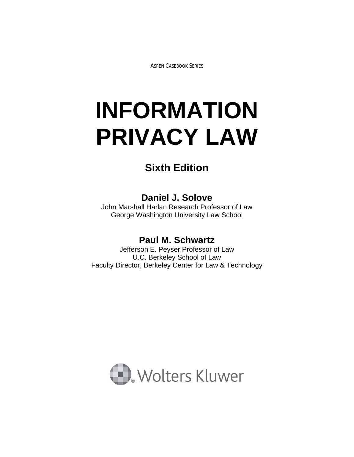ASPEN CASEBOOK SERIES

# **INFORMATION PRIVACY LAW**

# **Sixth Edition**

# **Daniel J. Solove**

John Marshall Harlan Research Professor of Law George Washington University Law School

## **Paul M. Schwartz**

Jefferson E. Peyser Professor of Law U.C. Berkeley School of Law Faculty Director, Berkeley Center for Law & Technology

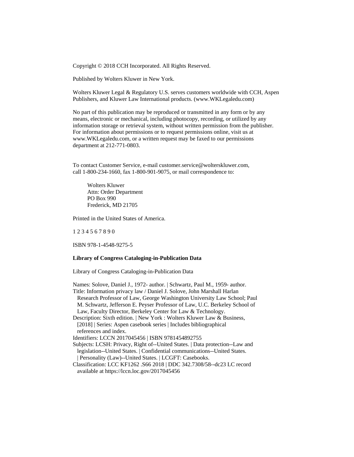Copyright © 2018 CCH Incorporated. All Rights Reserved.

Published by Wolters Kluwer in New York.

Wolters Kluwer Legal & Regulatory U.S. serves customers worldwide with CCH, Aspen Publishers, and Kluwer Law International products. (www.WKLegaledu.com)

No part of this publication may be reproduced or transmitted in any form or by any means, electronic or mechanical, including photocopy, recording, or utilized by any information storage or retrieval system, without written permission from the publisher. For information about permissions or to request permissions online, visit us at www.WKLegaledu.com, or a written request may be faxed to our permissions department at 212-771-0803.

To contact Customer Service, e-mail customer.service@wolterskluwer.com, call 1-800-234-1660, fax 1-800-901-9075, or mail correspondence to:

 Wolters Kluwer Attn: Order Department PO Box 990 Frederick, MD 21705

Printed in the United States of America.

1 2 3 4 5 6 7 8 9 0

ISBN 978-1-4548-9275-5

#### **Library of Congress Cataloging-in-Publication Data**

Library of Congress Cataloging-in-Publication Data

Names: Solove, Daniel J., 1972- author. | Schwartz, Paul M., 1959- author. Title: Information privacy law / Daniel J. Solove, John Marshall Harlan Research Professor of Law, George Washington University Law School; Paul M. Schwartz, Jefferson E. Peyser Professor of Law, U.C. Berkeley School of Law, Faculty Director, Berkeley Center for Law & Technology. Description: Sixth edition. | New York : Wolters Kluwer Law & Business, [2018] | Series: Aspen casebook series | Includes bibliographical references and index. Identifiers: LCCN 2017045456 | ISBN 9781454892755 Subjects: LCSH: Privacy, Right of--United States. | Data protection--Law and legislation--United States. | Confidential communications--United States. | Personality (Law)--United States. | LCGFT: Casebooks.

Classification: LCC KF1262 .S66 2018 | DDC 342.7308/58--dc23 LC record available at https://lccn.loc.gov/2017045456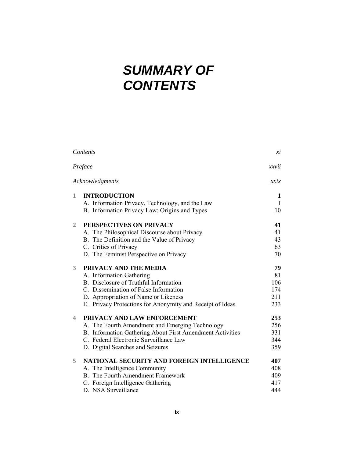# *SUMMARY OF CONTENTS*

|              | Contents                                                                                                                                                                                                                                 | xi                                   |
|--------------|------------------------------------------------------------------------------------------------------------------------------------------------------------------------------------------------------------------------------------------|--------------------------------------|
|              | Preface                                                                                                                                                                                                                                  | xxvii                                |
|              | Acknowledgments                                                                                                                                                                                                                          | xxix                                 |
| 1            | <b>INTRODUCTION</b><br>A. Information Privacy, Technology, and the Law<br>B. Information Privacy Law: Origins and Types                                                                                                                  | 1<br>1<br>10                         |
| $\mathbf{2}$ | PERSPECTIVES ON PRIVACY<br>A. The Philosophical Discourse about Privacy<br>B. The Definition and the Value of Privacy<br>C. Critics of Privacy<br>D. The Feminist Perspective on Privacy                                                 | 41<br>41<br>43<br>63<br>70           |
| 3            | PRIVACY AND THE MEDIA<br>A. Information Gathering<br>B. Disclosure of Truthful Information<br>C. Dissemination of False Information<br>D. Appropriation of Name or Likeness<br>E. Privacy Protections for Anonymity and Receipt of Ideas | 79<br>81<br>106<br>174<br>211<br>233 |
| 4            | PRIVACY AND LAW ENFORCEMENT<br>A. The Fourth Amendment and Emerging Technology<br>B. Information Gathering About First Amendment Activities<br>C. Federal Electronic Surveillance Law<br>D. Digital Searches and Seizures                | 253<br>256<br>331<br>344<br>359      |
| 5            | NATIONAL SECURITY AND FOREIGN INTELLIGENCE<br>A. The Intelligence Community<br><b>B.</b> The Fourth Amendment Framework<br>C. Foreign Intelligence Gathering<br>D. NSA Surveillance                                                      | 407<br>408<br>409<br>417<br>444      |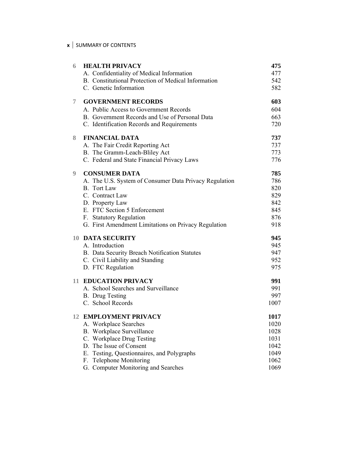#### **x** SUMMARY OF CONTENTS

| 6  | <b>HEALTH PRIVACY</b>                                  | 475  |
|----|--------------------------------------------------------|------|
|    | A. Confidentiality of Medical Information              | 477  |
|    | B. Constitutional Protection of Medical Information    | 542  |
|    | C. Genetic Information                                 | 582  |
| 7  | <b>GOVERNMENT RECORDS</b>                              | 603  |
|    | A. Public Access to Government Records                 | 604  |
|    | B. Government Records and Use of Personal Data         | 663  |
|    | C. Identification Records and Requirements             | 720  |
| 8. | <b>FINANCIAL DATA</b>                                  | 737  |
|    | A. The Fair Credit Reporting Act                       | 737  |
|    | B. The Gramm-Leach-Bliley Act                          | 773  |
|    | C. Federal and State Financial Privacy Laws            | 776  |
| 9  | <b>CONSUMER DATA</b>                                   | 785  |
|    | A. The U.S. System of Consumer Data Privacy Regulation | 786  |
|    | <b>B.</b> Tort Law                                     | 820  |
|    | C. Contract Law                                        | 829  |
|    | D. Property Law                                        | 842  |
|    | E. FTC Section 5 Enforcement                           | 845  |
|    | F. Statutory Regulation                                | 876  |
|    | G. First Amendment Limitations on Privacy Regulation   | 918  |
|    | <b>10 DATA SECURITY</b>                                | 945  |
|    | A. Introduction                                        | 945  |
|    | B. Data Security Breach Notification Statutes          | 947  |
|    | C. Civil Liability and Standing                        | 952  |
|    | D. FTC Regulation                                      | 975  |
|    | <b>11 EDUCATION PRIVACY</b>                            | 991  |
|    | A. School Searches and Surveillance                    | 991  |
|    | <b>B.</b> Drug Testing                                 | 997  |
|    | C. School Records                                      | 1007 |
|    | <b>12 EMPLOYMENT PRIVACY</b>                           | 1017 |
|    | A. Workplace Searches                                  | 1020 |
|    | B. Workplace Surveillance                              | 1028 |
|    | C. Workplace Drug Testing                              | 1031 |
|    | D. The Issue of Consent                                | 1042 |
|    | E. Testing, Questionnaires, and Polygraphs             | 1049 |
|    | Telephone Monitoring<br>F.                             | 1062 |
|    | G. Computer Monitoring and Searches                    | 1069 |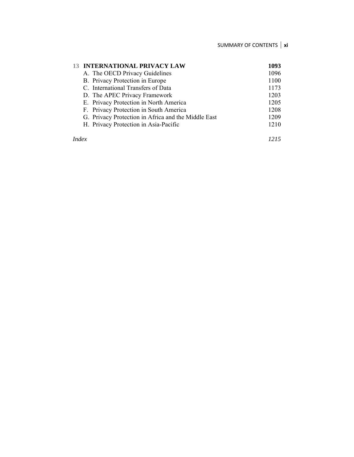| <b>13 INTERNATIONAL PRIVACY LAW</b>    |                                                     | 1093 |
|----------------------------------------|-----------------------------------------------------|------|
| A. The OECD Privacy Guidelines         |                                                     | 1096 |
| B. Privacy Protection in Europe        |                                                     | 1100 |
| C. International Transfers of Data     |                                                     | 1173 |
| D. The APEC Privacy Framework          |                                                     | 1203 |
| E. Privacy Protection in North America |                                                     | 1205 |
| F. Privacy Protection in South America |                                                     | 1208 |
|                                        | G. Privacy Protection in Africa and the Middle East | 1209 |
| H. Privacy Protection in Asia-Pacific  |                                                     | 1210 |
|                                        |                                                     |      |

*Index 1215*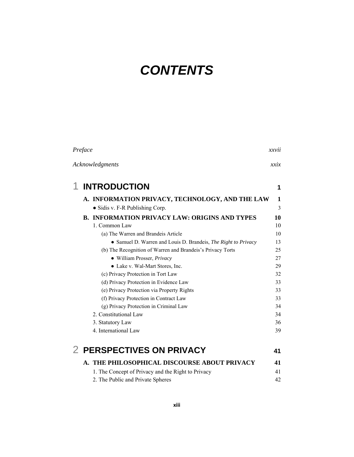# *CONTENTS*

|   | Preface                                                        | xxvii |
|---|----------------------------------------------------------------|-------|
|   | Acknowledgments                                                | xxix  |
| 1 | <b>INTRODUCTION</b>                                            | 1     |
|   | A. INFORMATION PRIVACY, TECHNOLOGY, AND THE LAW                | 1     |
|   | • Sidis v. F-R Publishing Corp.                                | 3     |
|   | <b>B. INFORMATION PRIVACY LAW: ORIGINS AND TYPES</b>           | 10    |
|   | 1. Common Law                                                  | 10    |
|   | (a) The Warren and Brandeis Article                            | 10    |
|   | • Samuel D. Warren and Louis D. Brandeis, The Right to Privacy | 13    |
|   | (b) The Recognition of Warren and Brandeis's Privacy Torts     | 25    |
|   | · William Prosser, Privacy                                     | 27    |
|   | • Lake v. Wal-Mart Stores, Inc.                                | 29    |
|   | (c) Privacy Protection in Tort Law                             | 32    |
|   | (d) Privacy Protection in Evidence Law                         | 33    |
|   | (e) Privacy Protection via Property Rights                     | 33    |
|   | (f) Privacy Protection in Contract Law                         | 33    |
|   | (g) Privacy Protection in Criminal Law                         | 34    |
|   | 2. Constitutional Law                                          | 34    |
|   | 3. Statutory Law                                               | 36    |
|   | 4. International Law                                           | 39    |
|   | 2 PERSPECTIVES ON PRIVACY                                      | 41    |
|   | A. THE PHILOSOPHICAL DISCOURSE ABOUT PRIVACY                   | 41    |
|   | 1. The Concept of Privacy and the Right to Privacy             | 41    |
|   | 2. The Public and Private Spheres                              | 42    |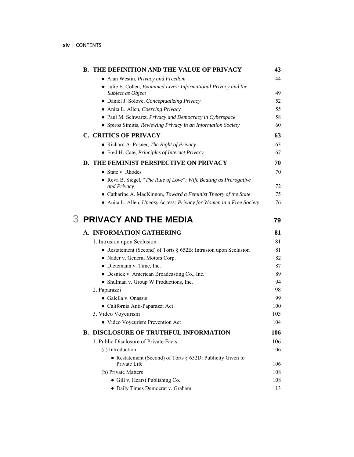| <b>B. THE DEFINITION AND THE VALUE OF PRIVACY</b>                                    | 43       |
|--------------------------------------------------------------------------------------|----------|
| • Alan Westin, Privacy and Freedom                                                   | 44       |
| • Julie E. Cohen, Examined Lives: Informational Privacy and the<br>Subject as Object | 49       |
| · Daniel J. Solove, Conceptualizing Privacy                                          | 52       |
| • Anita L. Allen, Coercing Privacy                                                   | 55       |
| • Paul M. Schwartz, Privacy and Democracy in Cyberspace                              | 58       |
| • Spiros Simitis, Reviewing Privacy in an Information Society                        | 60       |
| <b>C. CRITICS OF PRIVACY</b>                                                         | 63       |
| • Richard A. Posner, The Right of Privacy                                            | 63       |
| • Fred H. Cate, Principles of Internet Privacy                                       | 67       |
| D. THE FEMINIST PERSPECTIVE ON PRIVACY                                               | 70       |
| $\bullet$ State v. Rhodes                                                            | 70       |
| • Reva B. Siegel, "The Rule of Love": Wife Beating as Prerogative<br>and Privacy     | 72       |
| • Catharine A. MacKinnon, Toward a Feminist Theory of the State                      | 75       |
| • Anita L. Allen, Uneasy Access: Privacy for Women in a Free Society                 | 76       |
| <b>3 PRIVACY AND THE MEDIA</b>                                                       | 79       |
| A. INFORMATION GATHERING                                                             | 81       |
| 1. Intrusion upon Seclusion                                                          | 81       |
| • Restatement (Second) of Torts $\S$ 652B: Intrusion upon Seclusion                  | 81       |
| • Nader v. General Motors Corp.                                                      | 82       |
| • Dietemann v. Time, Inc.                                                            | 87       |
| • Desnick v. American Broadcasting Co., Inc.                                         | 89       |
| • Shulman v. Group W Productions, Inc.                                               | 94       |
| 2. Paparazzi<br>• Galella v. Onassis                                                 | 98<br>99 |
| · California Anti-Paparazzi Act                                                      | 100      |
| 3. Video Voyeurism                                                                   | 103      |
| • Video Voyeurism Prevention Act                                                     | 104      |
| <b>B. DISCLOSURE OF TRUTHFUL INFORMATION</b>                                         | 106      |
| 1. Public Disclosure of Private Facts                                                | 106      |
| (a) Introduction                                                                     | 106      |
| • Restatement (Second) of Torts $\S$ 652D: Publicity Given to<br>Private Life        | 106      |
| (b) Private Matters                                                                  | 108      |
| • Gill v. Hearst Publishing Co.                                                      | 108      |
| • Daily Times Democrat v. Graham                                                     | 113      |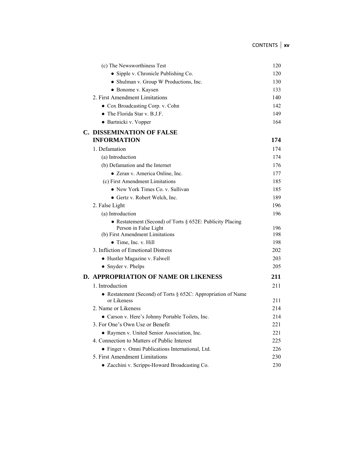| (c) The Newsworthiness Test                                                     | 120        |
|---------------------------------------------------------------------------------|------------|
| • Sipple v. Chronicle Publishing Co.                                            | 120        |
| • Shulman v. Group W Productions, Inc.                                          | 130        |
| • Bonome v. Kaysen                                                              | 133        |
| 2 First Amendment Limitations                                                   | 140        |
| • Cox Broadcasting Corp. v. Cohn                                                | 142        |
| • The Florida Star v. B.J.F.                                                    | 149        |
| • Bartnicki v. Vopper                                                           | 164        |
| <b>C. DISSEMINATION OF FALSE</b>                                                |            |
| <b>INFORMATION</b>                                                              | 174        |
| 1. Defamation                                                                   | 174        |
| (a) Introduction                                                                | 174        |
| (b) Defamation and the Internet                                                 | 176        |
| • Zeran v. America Online, Inc.                                                 | 177        |
| (c) First Amendment Limitations                                                 | 185        |
| • New York Times Co. v. Sullivan                                                | 185        |
| • Gertz v. Robert Welch, Inc.                                                   | 189        |
| 2. False Light                                                                  | 196        |
| (a) Introduction                                                                | 196        |
| • Restatement (Second) of Torts $\S$ 652E: Publicity Placing                    |            |
| Person in False Light<br>(b) First Amendment Limitations                        | 196<br>198 |
| $\bullet$ Time, Inc. v. Hill                                                    | 198        |
| 3. Infliction of Emotional Distress                                             | 202        |
| • Hustler Magazine v. Falwell                                                   | 203        |
| • Snyder v. Phelps                                                              | 205        |
|                                                                                 |            |
| <b>D. APPROPRIATION OF NAME OR LIKENESS</b>                                     | 211        |
| 1. Introduction                                                                 | 211        |
| • Restatement (Second) of Torts $\S$ 652C: Appropriation of Name<br>or Likeness | 211        |
| 2. Name or Likeness                                                             | 214        |
| • Carson v. Here's Johnny Portable Toilets, Inc.                                | 214        |
| 3. For One's Own Use or Benefit                                                 | 221        |
| • Raymen v. United Senior Association, Inc.                                     | 221        |
| 4. Connection to Matters of Public Interest                                     | 225        |
| · Finger v. Omni Publications International, Ltd.                               | 226        |
| 5. First Amendment Limitations                                                  | 230        |
| • Zacchini v. Scripps-Howard Broadcasting Co.                                   | 230        |
|                                                                                 |            |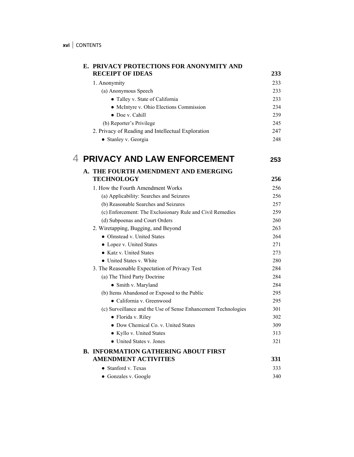| E. PRIVACY PROTECTIONS FOR ANONYMITY AND                                   |     |
|----------------------------------------------------------------------------|-----|
| <b>RECEIPT OF IDEAS</b>                                                    | 233 |
| 1. Anonymity                                                               | 233 |
| (a) Anonymous Speech                                                       | 233 |
| • Talley v. State of California                                            | 233 |
| • McIntyre v. Ohio Elections Commission                                    | 234 |
| • Doe v. Cahill                                                            | 239 |
| (b) Reporter's Privilege                                                   | 245 |
| 2. Privacy of Reading and Intellectual Exploration                         | 247 |
| • Stanley v. Georgia                                                       | 248 |
| 4 PRIVACY AND LAW ENFORCEMENT                                              | 253 |
| A. THE FOURTH AMENDMENT AND EMERGING                                       |     |
| <b>TECHNOLOGY</b>                                                          | 256 |
| 1. How the Fourth Amendment Works                                          | 256 |
| (a) Applicability: Searches and Seizures                                   | 256 |
| (b) Reasonable Searches and Seizures                                       | 257 |
| (c) Enforcement: The Exclusionary Rule and Civil Remedies                  | 259 |
| (d) Subpoenas and Court Orders                                             | 260 |
| 2. Wiretapping, Bugging, and Beyond                                        | 263 |
| • Olmstead v. United States                                                | 264 |
| • Lopez v. United States                                                   | 271 |
| • Katz v. United States                                                    | 273 |
| • United States v. White                                                   | 280 |
| 3. The Reasonable Expectation of Privacy Test                              | 284 |
| (a) The Third Party Doctrine                                               | 284 |
| • Smith v. Maryland                                                        | 284 |
| (b) Items Abandoned or Exposed to the Public                               | 295 |
| • California v. Greenwood                                                  | 295 |
| (c) Surveillance and the Use of Sense Enhancement Technologies             | 301 |
| · Florida v. Riley                                                         | 302 |
| • Dow Chemical Co. v. United States                                        | 309 |
| • Kyllo v. United States                                                   | 313 |
| • United States v. Jones                                                   | 321 |
| <b>B. INFORMATION GATHERING ABOUT FIRST</b><br><b>AMENDMENT ACTIVITIES</b> | 331 |
|                                                                            |     |
| • Stanford v. Texas                                                        | 333 |
| • Gonzales v. Google                                                       | 340 |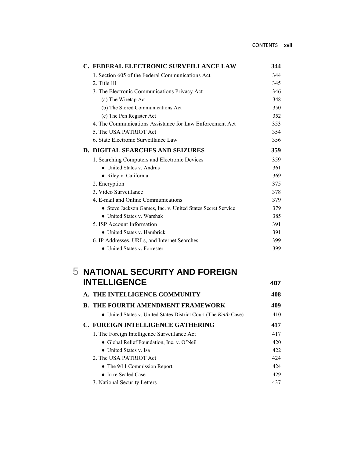| C. FEDERAL ELECTRONIC SURVEILLANCE LAW                      | 344 |
|-------------------------------------------------------------|-----|
| 1. Section 605 of the Federal Communications Act            | 344 |
| 2. Title III                                                | 345 |
| 3. The Electronic Communications Privacy Act                | 346 |
| (a) The Wiretap Act                                         | 348 |
| (b) The Stored Communications Act                           | 350 |
| (c) The Pen Register Act                                    | 352 |
| 4. The Communications Assistance for Law Enforcement Act    | 353 |
| 5. The USA PATRIOT Act                                      | 354 |
| 6. State Electronic Surveillance Law                        | 356 |
| <b>D. DIGITAL SEARCHES AND SEIZURES</b>                     | 359 |
| 1. Searching Computers and Electronic Devices               | 359 |
| • United States v. Andrus                                   | 361 |
| • Riley v. California                                       | 369 |
| 2. Encryption                                               | 375 |
| 3. Video Surveillance                                       | 378 |
| 4. E-mail and Online Communications                         | 379 |
| • Steve Jackson Games, Inc. v. United States Secret Service | 379 |
| • United States v. Warshak                                  | 385 |
| 5. ISP Account Information                                  | 391 |
| • United States v. Hambrick                                 | 391 |
| 6. IP Addresses, URLs, and Internet Searches                | 399 |
| • United States v. Forrester                                | 399 |

## 5 **NATIONAL SECURITY AND FOREIGN INTELLIGENCE** 407

| A. THE INTELLIGENCE COMMUNITY                                           | 408 |
|-------------------------------------------------------------------------|-----|
| B. THE FOURTH AMENDMENT FRAMEWORK                                       | 409 |
| • United States v. United States District Court (The <i>Keith</i> Case) | 410 |
| C. FOREIGN INTELLIGENCE GATHERING                                       | 417 |
| 1. The Foreign Intelligence Surveillance Act                            | 417 |
| • Global Relief Foundation, Inc. v. O'Neil                              | 420 |
| • United States v. Isa                                                  | 422 |
| 2. The USA PATRIOT Act                                                  | 424 |
| • The $9/11$ Commission Report                                          | 424 |
| $\bullet$ In re Sealed Case                                             | 429 |
| 3. National Security Letters                                            | 437 |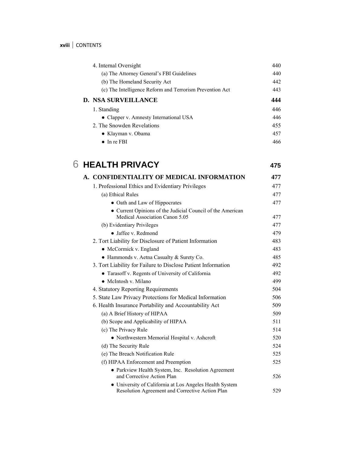| 4. Internal Oversight                                    | 440 |
|----------------------------------------------------------|-----|
| (a) The Attorney General's FBI Guidelines                | 440 |
| (b) The Homeland Security Act                            | 442 |
| (c) The Intelligence Reform and Terrorism Prevention Act | 443 |
| <b>D. NSA SURVEILLANCE</b>                               | 444 |
| 1. Standing                                              | 446 |
| • Clapper v. Amnesty International USA                   | 446 |
| 2. The Snowden Revelations                               | 455 |
| $\bullet$ Klayman v. Obama                               | 457 |
| $\bullet$ In re FBI                                      | 466 |

# 6 **HEALTH PRIVACY 475 A. CONFIDENTIALITY OF MEDICAL INFORMATION 477**  1. Professional Ethics and Evidentiary Privileges 477

| (a) Ethical Rules                                                                            | 477 |
|----------------------------------------------------------------------------------------------|-----|
| • Oath and Law of Hippocrates                                                                | 477 |
| • Current Opinions of the Judicial Council of the American<br>Medical Association Canon 5.05 | 477 |
| (b) Evidentiary Privileges                                                                   | 477 |
| • Jaffee v. Redmond                                                                          | 479 |
| 2. Tort Liability for Disclosure of Patient Information                                      | 483 |
| • McCormick v. England                                                                       | 483 |
| • Hammonds v. Aetna Casualty & Surety Co.                                                    | 485 |
| 3. Tort Liability for Failure to Disclose Patient Information                                | 492 |
| • Tarasoff v. Regents of University of California                                            | 492 |
| • McIntosh v. Milano                                                                         | 499 |
| 4. Statutory Reporting Requirements                                                          | 504 |
| 5. State Law Privacy Protections for Medical Information                                     | 506 |
| 6. Health Insurance Portability and Accountability Act                                       | 509 |
| (a) A Brief History of HIPAA                                                                 | 509 |
| (b) Scope and Applicability of HIPAA                                                         | 511 |
| (c) The Privacy Rule                                                                         | 514 |
| • Northwestern Memorial Hospital v. Ashcroft                                                 | 520 |
| (d) The Security Rule                                                                        | 524 |
| (e) The Breach Notification Rule                                                             | 525 |
| (f) HIPAA Enforcement and Preemption                                                         | 525 |
| • Parkview Health System, Inc. Resolution Agreement<br>and Corrective Action Plan            | 526 |
| • University of California at Los Angeles Health System                                      |     |
| Resolution Agreement and Corrective Action Plan                                              | 529 |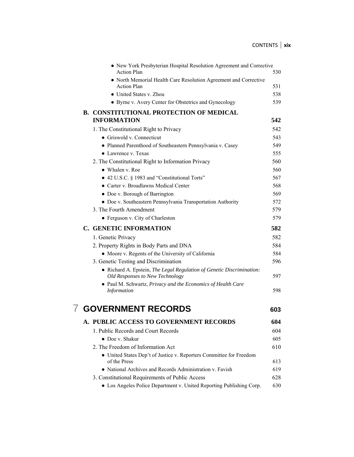|  | • New York Presbyterian Hospital Resolution Agreement and Corrective                                     |     |
|--|----------------------------------------------------------------------------------------------------------|-----|
|  | <b>Action Plan</b>                                                                                       | 530 |
|  | • North Memorial Health Care Resolution Agreement and Corrective<br><b>Action Plan</b>                   | 531 |
|  | • United States v. Zhou                                                                                  | 538 |
|  | • Byrne v. Avery Center for Obstetrics and Gynecology                                                    | 539 |
|  |                                                                                                          |     |
|  | <b>B. CONSTITUTIONAL PROTECTION OF MEDICAL</b><br><b>INFORMATION</b>                                     | 542 |
|  | 1. The Constitutional Right to Privacy                                                                   | 542 |
|  | • Griswold v. Connecticut                                                                                | 543 |
|  | · Planned Parenthood of Southeastern Pennsylvania v. Casey                                               | 549 |
|  | $\bullet$ Lawrence v. Texas                                                                              | 555 |
|  | 2. The Constitutional Right to Information Privacy                                                       | 560 |
|  | • Whalen v. Roe                                                                                          | 560 |
|  | • 42 U.S.C. § 1983 and "Constitutional Torts"                                                            | 567 |
|  | • Carter v. Broadlawns Medical Center                                                                    | 568 |
|  | • Doe v. Borough of Barrington                                                                           | 569 |
|  | • Doe v. Southeastern Pennsylvania Transportation Authority                                              | 572 |
|  | 3. The Fourth Amendment                                                                                  | 579 |
|  | • Ferguson v. City of Charleston                                                                         | 579 |
|  | <b>C. GENETIC INFORMATION</b>                                                                            | 582 |
|  | 1. Genetic Privacy                                                                                       | 582 |
|  | 2. Property Rights in Body Parts and DNA                                                                 | 584 |
|  | • Moore v. Regents of the University of California                                                       | 584 |
|  | 3. Genetic Testing and Discrimination                                                                    | 596 |
|  | • Richard A. Epstein, The Legal Regulation of Genetic Discrimination:<br>Old Responses to New Technology | 597 |
|  | • Paul M. Schwartz, Privacy and the Economics of Health Care<br>Information                              | 598 |
|  | <b>GOVERNMENT RECORDS</b>                                                                                | 603 |
|  | PUBLIC ACCESS TO GOVERNMENT RECORDS                                                                      | 604 |
|  | 1. Public Records and Court Records                                                                      | 604 |
|  | • Doe v. Shakur                                                                                          | 605 |
|  | 2. The Freedom of Information Act                                                                        | 610 |
|  | • United States Dep't of Justice v. Reporters Committee for Freedom<br>of the Press                      | 613 |
|  | • National Archives and Records Administration v. Favish                                                 | 619 |
|  | 3. Constitutional Requirements of Public Access                                                          | 628 |
|  | • Los Angeles Police Department v. United Reporting Publishing Corp.                                     | 630 |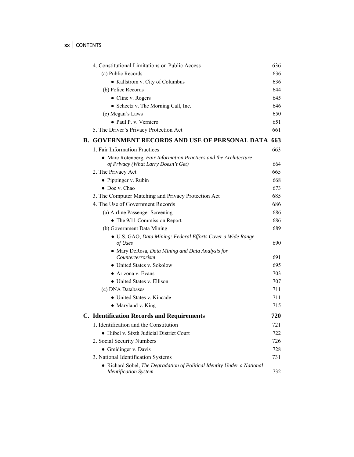## **xx** | CONTENTS

| 4. Constitutional Limitations on Public Access                                                           | 636 |
|----------------------------------------------------------------------------------------------------------|-----|
| (a) Public Records                                                                                       | 636 |
| • Kallstrom v. City of Columbus                                                                          | 636 |
| (b) Police Records                                                                                       | 644 |
| • Cline v. Rogers                                                                                        | 645 |
| • Scheetz v. The Morning Call, Inc.                                                                      | 646 |
| (c) Megan's Laws                                                                                         | 650 |
| • Paul P. v. Verniero                                                                                    | 651 |
| 5. The Driver's Privacy Protection Act                                                                   | 661 |
| <b>B. GOVERNMENT RECORDS AND USE OF PERSONAL DATA 663</b>                                                |     |
| 1. Fair Information Practices                                                                            | 663 |
| • Marc Rotenberg, Fair Information Practices and the Architecture<br>of Privacy (What Larry Doesn't Get) | 664 |
| 2. The Privacy Act                                                                                       | 665 |
| • Pippinger v. Rubin                                                                                     | 668 |
| $\bullet$ Doe v. Chao                                                                                    | 673 |
| 3. The Computer Matching and Privacy Protection Act                                                      | 685 |
| 4. The Use of Government Records                                                                         | 686 |
| (a) Airline Passenger Screening                                                                          | 686 |
| • The 9/11 Commission Report                                                                             | 686 |
| (b) Government Data Mining                                                                               | 689 |
| · U.S. GAO, Data Mining: Federal Efforts Cover a Wide Range<br>of Uses                                   | 690 |
| • Mary DeRosa, Data Mining and Data Analysis for<br>Counterterrorism                                     | 691 |
| • United States v. Sokolow                                                                               | 695 |
| • Arizona v. Evans                                                                                       | 703 |
| • United States v. Ellison                                                                               | 707 |
| (c) DNA Databases                                                                                        | 711 |
| • United States v. Kincade                                                                               | 711 |
| • Maryland v. King                                                                                       | 715 |
| <b>C.</b> Identification Records and Requirements                                                        | 720 |
| 1. Identification and the Constitution                                                                   | 721 |
| • Hiibel v. Sixth Judicial District Court                                                                | 722 |
| 2. Social Security Numbers                                                                               | 726 |
| • Greidinger v. Davis                                                                                    | 728 |
| 3. National Identification Systems                                                                       | 731 |
| • Richard Sobel, The Degradation of Political Identity Under a National<br><b>Identification System</b>  | 732 |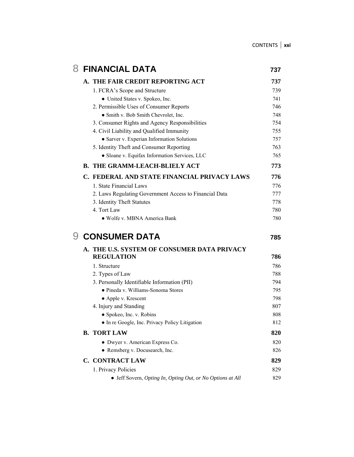| 8 |                                             | <b>FINANCIAL DATA</b>                                      | 737 |  |
|---|---------------------------------------------|------------------------------------------------------------|-----|--|
|   |                                             | A. THE FAIR CREDIT REPORTING ACT                           | 737 |  |
|   |                                             | 1. FCRA's Scope and Structure                              | 739 |  |
|   |                                             | • United States v. Spokeo, Inc.                            | 741 |  |
|   |                                             | 2. Permissible Uses of Consumer Reports                    | 746 |  |
|   |                                             | • Smith v. Bob Smith Chevrolet, Inc.                       | 748 |  |
|   |                                             | 3. Consumer Rights and Agency Responsibilities             | 754 |  |
|   | 4. Civil Liability and Qualified Immunity   |                                                            | 755 |  |
|   |                                             | • Sarver v. Experian Information Solutions                 | 757 |  |
|   |                                             | 5. Identity Theft and Consumer Reporting                   | 763 |  |
|   |                                             | · Sloane v. Equifax Information Services, LLC              | 765 |  |
|   |                                             | <b>B. THE GRAMM-LEACH-BLIELY ACT</b>                       |     |  |
|   |                                             | C. FEDERAL AND STATE FINANCIAL PRIVACY LAWS                | 776 |  |
|   |                                             | 1. State Financial Laws                                    | 776 |  |
|   |                                             | 2. Laws Regulating Government Access to Financial Data     | 777 |  |
|   |                                             | 3. Identity Theft Statutes                                 | 778 |  |
|   |                                             | 4 Tort Law                                                 | 780 |  |
|   |                                             | · Wolfe v. MBNA America Bank                               | 780 |  |
|   | <b>CONSUMER DATA</b>                        |                                                            | 785 |  |
|   | A. THE U.S. SYSTEM OF CONSUMER DATA PRIVACY |                                                            |     |  |
|   |                                             | <b>REGULATION</b>                                          | 786 |  |
|   |                                             | 1. Structure                                               | 786 |  |
|   |                                             | 2. Types of Law                                            | 788 |  |
|   |                                             | 3. Personally Identifiable Information (PII)               | 794 |  |
|   |                                             | · Pineda v. Williams-Sonoma Stores                         | 795 |  |
|   |                                             | • Apple v. Krescent                                        | 798 |  |
|   |                                             | 4. Injury and Standing                                     | 807 |  |
|   |                                             | • Spokeo, Inc. v. Robins                                   | 808 |  |
|   |                                             | In re Google, Inc. Privacy Policy Litigation               | 812 |  |
|   |                                             | <b>B. TORT LAW</b>                                         | 820 |  |
|   |                                             | • Dwyer v. American Express Co.                            | 820 |  |
|   |                                             | • Remsberg v. Docusearch, Inc.                             | 826 |  |
|   |                                             | <b>C. CONTRACT LAW</b>                                     | 829 |  |
|   |                                             | 1. Privacy Policies                                        | 829 |  |
|   |                                             | • Jeff Sovern, Opting In, Opting Out, or No Options at All | 829 |  |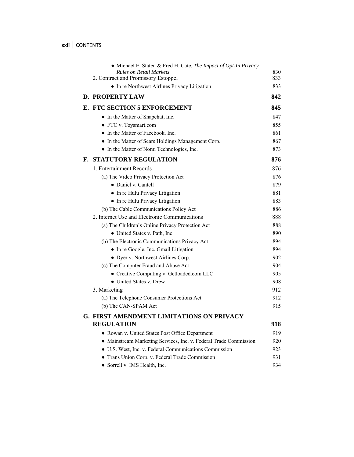**xxii** CONTENTS

| • Michael E. Staten & Fred H. Cate, The Impact of Opt-In Privacy<br><b>Rules on Retail Markets</b> | 830 |
|----------------------------------------------------------------------------------------------------|-----|
| 2. Contract and Promissory Estoppel                                                                | 833 |
| • In re Northwest Airlines Privacy Litigation                                                      | 833 |
| <b>D. PROPERTY LAW</b>                                                                             | 842 |
| E. FTC SECTION 5 ENFORCEMENT                                                                       | 845 |
| • In the Matter of Snapchat, Inc.                                                                  | 847 |
| • FTC v. Toysmart.com                                                                              | 855 |
| • In the Matter of Facebook. Inc.                                                                  | 861 |
| • In the Matter of Sears Holdings Management Corp.                                                 | 867 |
| • In the Matter of Nomi Technologies, Inc.                                                         | 873 |
| <b>F. STATUTORY REGULATION</b>                                                                     | 876 |
| 1. Entertainment Records                                                                           | 876 |
| (a) The Video Privacy Protection Act                                                               | 876 |
| · Daniel v. Cantell                                                                                | 879 |
| • In re Hulu Privacy Litigation                                                                    | 881 |
| • In re Hulu Privacy Litigation                                                                    | 883 |
| (b) The Cable Communications Policy Act                                                            | 886 |
| 2. Internet Use and Electronic Communications                                                      | 888 |
| (a) The Children's Online Privacy Protection Act                                                   | 888 |
| • United States v. Path, Inc.                                                                      | 890 |
| (b) The Electronic Communications Privacy Act                                                      | 894 |
| • In re Google, Inc. Gmail Litigation                                                              | 894 |
| • Dyer v. Northwest Airlines Corp.                                                                 | 902 |
| (c) The Computer Fraud and Abuse Act                                                               | 904 |
| • Creative Computing v. Getloaded.com LLC                                                          | 905 |
| • United States v. Drew                                                                            | 908 |
| 3. Marketing                                                                                       | 912 |
| (a) The Telephone Consumer Protections Act                                                         | 912 |
| (b) The CAN-SPAM Act                                                                               | 915 |
| <b>G. FIRST AMENDMENT LIMITATIONS ON PRIVACY</b>                                                   |     |
| <b>REGULATION</b>                                                                                  | 918 |
| • Rowan v. United States Post Office Department                                                    | 919 |
| • Mainstream Marketing Services, Inc. v. Federal Trade Commission                                  | 920 |
| · U.S. West, Inc. v. Federal Communications Commission                                             | 923 |
| • Trans Union Corp. v. Federal Trade Commission                                                    | 931 |
| • Sorrell v. IMS Health, Inc.                                                                      | 934 |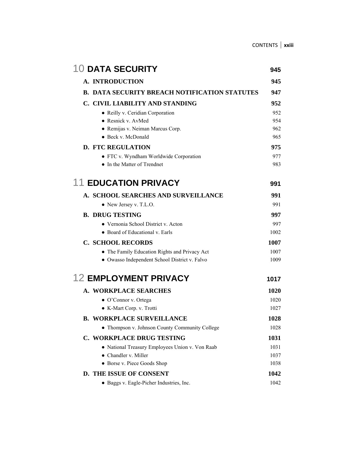| <b>10 DATA SECURITY</b>                              | 945  |
|------------------------------------------------------|------|
| A. INTRODUCTION                                      | 945  |
| <b>B. DATA SECURITY BREACH NOTIFICATION STATUTES</b> | 947  |
| C. CIVIL LIABILITY AND STANDING                      | 952  |
| • Reilly v. Ceridian Corporation                     | 952  |
| • Resnick v. AvMed                                   | 954  |
| • Remijas v. Neiman Marcus Corp.                     | 962  |
| • Beck v. McDonald                                   | 965  |
| <b>D. FTC REGULATION</b>                             | 975  |
| • FTC v. Wyndham Worldwide Corporation               | 977  |
| • In the Matter of Trendnet                          | 983. |
| <b>11 EDUCATION PRIVACY</b>                          | 991  |
| A. SCHOOL SEARCHES AND SURVEILLANCE                  | 991  |
| • New Jersey v. T.L.O.                               | 991  |
| <b>B. DRUG TESTING</b>                               | 997  |
| • Vernonia School District v. Acton                  | 997  |
| • Board of Educational v. Earls                      | 1002 |
| <b>C. SCHOOL RECORDS</b>                             | 1007 |
| • The Family Education Rights and Privacy Act        | 1007 |
| · Owasso Independent School District v. Falvo        | 1009 |
| <b>12 EMPLOYMENT PRIVACY</b>                         | 1017 |
| A. WORKPLACE SEARCHES                                | 1020 |
| • O'Connor v. Ortega                                 | 1020 |
| • K-Mart Corp. v. Trotti                             | 1027 |
| <b>B. WORKPLACE SURVEILLANCE</b>                     | 1028 |
| • Thompson v. Johnson County Community College       | 1028 |
| C. WORKPLACE DRUG TESTING                            | 1031 |
| • National Treasury Employees Union v. Von Raab      | 1031 |
| • Chandler v. Miller                                 | 1037 |
| • Borse v. Piece Goods Shop                          | 1038 |
| D. THE ISSUE OF CONSENT                              | 1042 |
| • Baggs v. Eagle-Picher Industries, Inc.             | 1042 |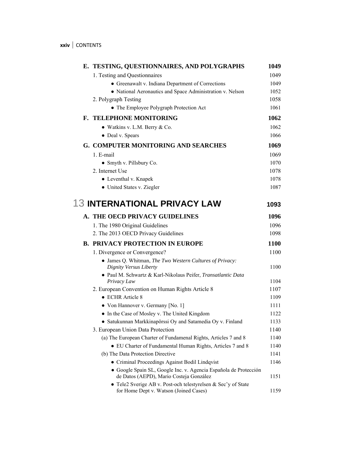| E. TESTING, QUESTIONNAIRES, AND POLYGRAPHS                                                                  | 1049         |
|-------------------------------------------------------------------------------------------------------------|--------------|
| 1. Testing and Questionnaires                                                                               | 1049         |
| • Greenawalt v. Indiana Department of Corrections                                                           | 1049         |
| • National Aeronautics and Space Administration v. Nelson                                                   | 1052         |
| 2. Polygraph Testing                                                                                        | 1058         |
| • The Employee Polygraph Protection Act                                                                     | 1061         |
| F. TELEPHONE MONITORING                                                                                     | 1062         |
| • Watkins v. L.M. Berry & Co.                                                                               | 1062         |
| • Deal v. Spears                                                                                            | 1066         |
| G. COMPUTER MONITORING AND SEARCHES                                                                         | 1069         |
| 1. E-mail                                                                                                   | 1069         |
| • Smyth v. Pillsbury Co.                                                                                    | 1070         |
| 2. Internet Use                                                                                             | 1078         |
| • Leventhal v. Knapek                                                                                       | 1078         |
| • United States v. Ziegler                                                                                  | 1087         |
| <b>13 INTERNATIONAL PRIVACY LAW</b>                                                                         |              |
|                                                                                                             | 1093         |
| A. THE OECD PRIVACY GUIDELINES                                                                              | 1096         |
| 1. The 1980 Original Guidelines                                                                             | 1096         |
| 2. The 2013 OECD Privacy Guidelines                                                                         | 1098         |
| <b>B. PRIVACY PROTECTION IN EUROPE</b>                                                                      | 1100         |
| 1. Divergence or Convergence?                                                                               | 1100         |
| • James Q. Whitman, The Two Western Cultures of Privacy:<br>Dignity Versus Liberty                          | 1100         |
| · Paul M. Schwartz & Karl-Nikolaus Peifer, Transatlantic Data                                               |              |
| Privacy Law                                                                                                 | 1104         |
| 2. European Convention on Human Rights Article 8                                                            | 1107         |
| $\bullet$ ECHR Article 8                                                                                    | 1109<br>1111 |
| • Von Hannover v. Germany [No. 1]<br>• In the Case of Mosley v. The United Kingdom                          | 1122         |
| • Satukunnan Markkinapörssi Oy and Satamedia Oy v. Finland                                                  | 1133         |
| 3. European Union Data Protection                                                                           | 1140         |
| (a) The European Charter of Fundamenal Rights, Articles 7 and 8                                             | 1140         |
| • EU Charter of Fundamental Human Rights, Articles 7 and 8                                                  | 1140         |
| (b) The Data Protection Directive                                                                           | 1141         |
| • Criminal Proceedings Against Bodil Lindqvist                                                              | 1146         |
| · Google Spain SL, Google Inc. v. Agencia Española de Protección<br>de Datos (AEPD), Mario Costeja González | 1151         |
| • Tele2 Sverige AB v. Post-och telestyrelsen & Sec'y of State<br>for Home Dept v. Watson (Joined Cases)     | 1159         |